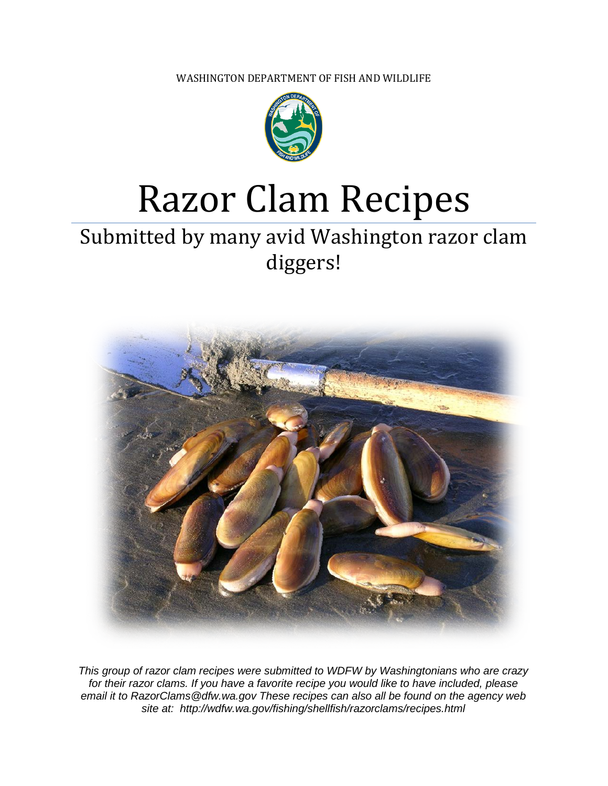WASHINGTON DEPARTMENT OF FISH AND WILDLIFE



# Razor Clam Recipes

# Submitted by many avid Washington razor clam diggers!



*This group of razor clam recipes were submitted to WDFW by Washingtonians who are crazy for their razor clams. If you have a favorite recipe you would like to have included, please email it to RazorClams@dfw.wa.gov These recipes can also all be found on the agency web site at: http://wdfw.wa.gov/fishing/shellfish/razorclams/recipes.html*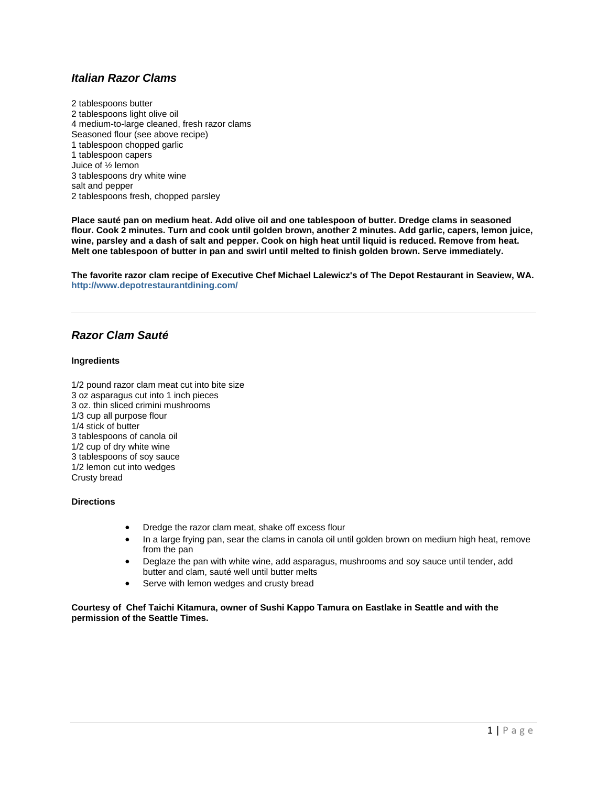# *Italian Razor Clams*

2 tablespoons butter 2 tablespoons light olive oil 4 medium-to-large cleaned, fresh razor clams Seasoned flour (see above recipe) 1 tablespoon chopped garlic 1 tablespoon capers Juice of ½ lemon 3 tablespoons dry white wine salt and pepper 2 tablespoons fresh, chopped parsley

**Place sauté pan on medium heat. Add olive oil and one tablespoon of butter. Dredge clams in seasoned flour. Cook 2 minutes. Turn and cook until golden brown, another 2 minutes. Add garlic, capers, lemon juice, wine, parsley and a dash of salt and pepper. Cook on high heat until liquid is reduced. Remove from heat. Melt one tablespoon of butter in pan and swirl until melted to finish golden brown. Serve immediately.**

**The favorite razor clam recipe of Executive Chef Michael Lalewicz's of The Depot Restaurant in Seaview, WA. <http://www.depotrestaurantdining.com/>**

# *Razor Clam Sauté*

#### **Ingredients**

1/2 pound razor clam meat cut into bite size 3 oz asparagus cut into 1 inch pieces 3 oz. thin sliced crimini mushrooms 1/3 cup all purpose flour 1/4 stick of butter 3 tablespoons of canola oil 1/2 cup of dry white wine 3 tablespoons of soy sauce 1/2 lemon cut into wedges Crusty bread

#### **Directions**

- Dredge the razor clam meat, shake off excess flour
- In a large frying pan, sear the clams in canola oil until golden brown on medium high heat, remove from the pan
- Deglaze the pan with white wine, add asparagus, mushrooms and soy sauce until tender, add butter and clam, sauté well until butter melts
- Serve with lemon wedges and crusty bread

**Courtesy of Chef Taichi Kitamura, owner of Sushi Kappo Tamura on Eastlake in Seattle and with the permission of the Seattle Times.**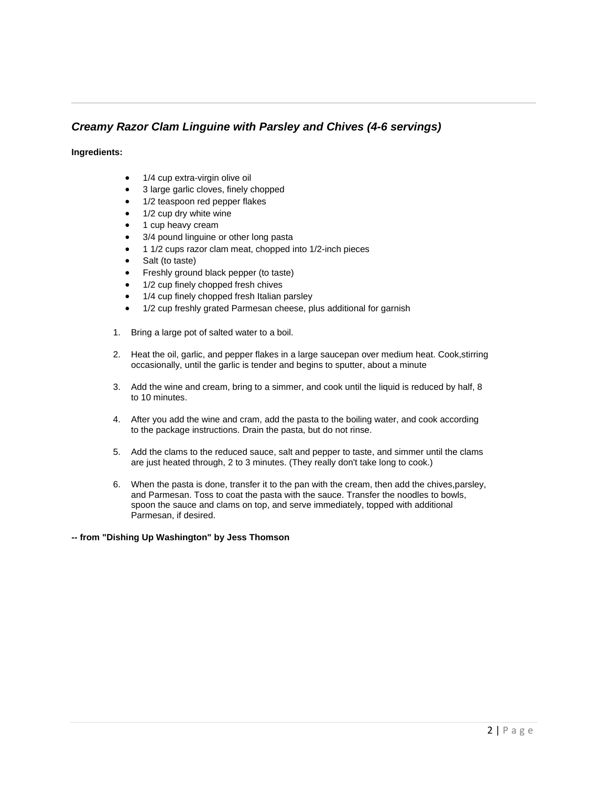# *Creamy Razor Clam Linguine with Parsley and Chives (4-6 servings)*

#### **Ingredients:**

- 1/4 cup extra-virgin olive oil
- 3 large garlic cloves, finely chopped
- 1/2 teaspoon red pepper flakes
- 1/2 cup dry white wine
- 1 cup heavy cream
- 3/4 pound linguine or other long pasta
- 1 1/2 cups razor clam meat, chopped into 1/2-inch pieces
- Salt (to taste)
- Freshly ground black pepper (to taste)
- 1/2 cup finely chopped fresh chives
- 1/4 cup finely chopped fresh Italian parsley
- 1/2 cup freshly grated Parmesan cheese, plus additional for garnish
- 1. Bring a large pot of salted water to a boil.
- 2. Heat the oil, garlic, and pepper flakes in a large saucepan over medium heat. Cook,stirring occasionally, until the garlic is tender and begins to sputter, about a minute
- 3. Add the wine and cream, bring to a simmer, and cook until the liquid is reduced by half, 8 to 10 minutes.
- 4. After you add the wine and cram, add the pasta to the boiling water, and cook according to the package instructions. Drain the pasta, but do not rinse.
- 5. Add the clams to the reduced sauce, salt and pepper to taste, and simmer until the clams are just heated through, 2 to 3 minutes. (They really don't take long to cook.)
- 6. When the pasta is done, transfer it to the pan with the cream, then add the chives,parsley, and Parmesan. Toss to coat the pasta with the sauce. Transfer the noodles to bowls, spoon the sauce and clams on top, and serve immediately, topped with additional Parmesan, if desired.

**-- from "Dishing Up Washington" by Jess Thomson**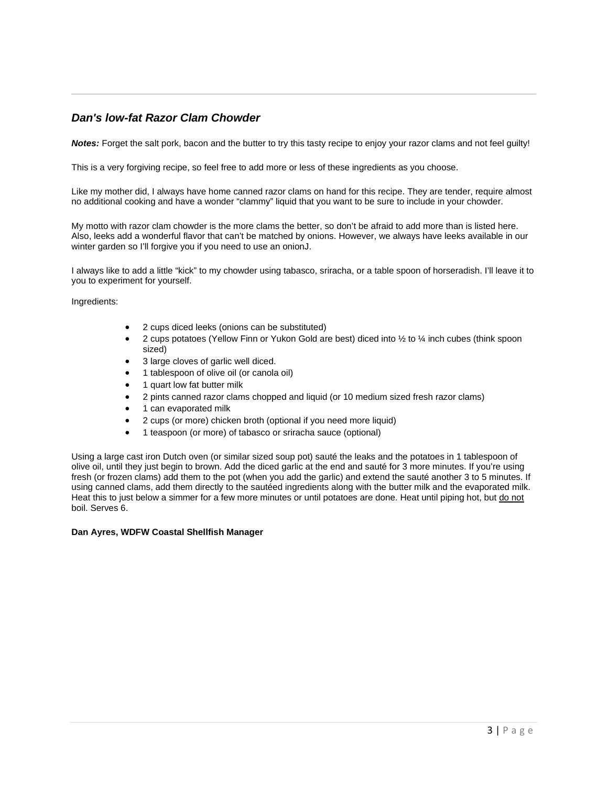# *Dan's low-fat Razor Clam Chowder*

*Notes:* Forget the salt pork, bacon and the butter to try this tasty recipe to enjoy your razor clams and not feel guilty!

This is a very forgiving recipe, so feel free to add more or less of these ingredients as you choose.

Like my mother did, I always have home canned razor clams on hand for this recipe. They are tender, require almost no additional cooking and have a wonder "clammy" liquid that you want to be sure to include in your chowder.

My motto with razor clam chowder is the more clams the better, so don't be afraid to add more than is listed here. Also, leeks add a wonderful flavor that can't be matched by onions. However, we always have leeks available in our winter garden so I'll forgive you if you need to use an onionJ.

I always like to add a little "kick" to my chowder using tabasco, sriracha, or a table spoon of horseradish. I'll leave it to you to experiment for yourself.

Ingredients:

- 2 cups diced leeks (onions can be substituted)
- 2 cups potatoes (Yellow Finn or Yukon Gold are best) diced into 1/2 to 1/4 inch cubes (think spoon sized)
- 3 large cloves of garlic well diced.
- 1 tablespoon of olive oil (or canola oil)
- 1 quart low fat butter milk
- 2 pints canned razor clams chopped and liquid (or 10 medium sized fresh razor clams)
- 1 can evaporated milk
- 2 cups (or more) chicken broth (optional if you need more liquid)
- 1 teaspoon (or more) of tabasco or sriracha sauce (optional)

Using a large cast iron Dutch oven (or similar sized soup pot) sauté the leaks and the potatoes in 1 tablespoon of olive oil, until they just begin to brown. Add the diced garlic at the end and sauté for 3 more minutes. If you're using fresh (or frozen clams) add them to the pot (when you add the garlic) and extend the sauté another 3 to 5 minutes. If using canned clams, add them directly to the sautéed ingredients along with the butter milk and the evaporated milk. Heat this to just below a simmer for a few more minutes or until potatoes are done. Heat until piping hot, but do not boil. Serves 6.

#### **Dan Ayres, WDFW Coastal Shellfish Manager**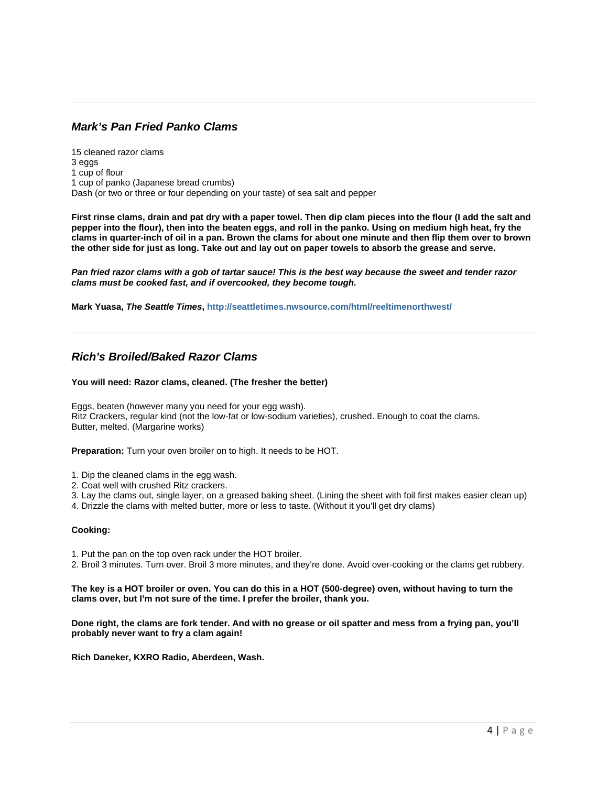# *Mark's Pan Fried Panko Clams*

15 cleaned razor clams 3 eggs 1 cup of flour 1 cup of panko (Japanese bread crumbs) Dash (or two or three or four depending on your taste) of sea salt and pepper

**First rinse clams, drain and pat dry with a paper towel. Then dip clam pieces into the flour (I add the salt and pepper into the flour), then into the beaten eggs, and roll in the panko. Using on medium high heat, fry the clams in quarter-inch of oil in a pan. Brown the clams for about one minute and then flip them over to brown the other side for just as long. Take out and lay out on paper towels to absorb the grease and serve.**

*Pan fried razor clams with a gob of tartar sauce! This is the best way because the sweet and tender razor clams must be cooked fast, and if overcooked, they become tough.*

**Mark Yuasa,** *The Seattle Times***[, http://seattletimes.nwsource.com/html/reeltimenorthwest/](http://seattletimes.nwsource.com/html/reeltimenorthwest/)**

# *Rich's Broiled/Baked Razor Clams*

#### **You will need: Razor clams, cleaned. (The fresher the better)**

Eggs, beaten (however many you need for your egg wash). Ritz Crackers, regular kind (not the low-fat or low-sodium varieties), crushed. Enough to coat the clams. Butter, melted. (Margarine works)

**Preparation:** Turn your oven broiler on to high. It needs to be HOT.

- 1. Dip the cleaned clams in the egg wash.
- 2. Coat well with crushed Ritz crackers.
- 3. Lay the clams out, single layer, on a greased baking sheet. (Lining the sheet with foil first makes easier clean up)
- 4. Drizzle the clams with melted butter, more or less to taste. (Without it you'll get dry clams)

#### **Cooking:**

1. Put the pan on the top oven rack under the HOT broiler.

2. Broil 3 minutes. Turn over. Broil 3 more minutes, and they're done. Avoid over-cooking or the clams get rubbery.

#### **The key is a HOT broiler or oven. You can do this in a HOT (500-degree) oven, without having to turn the clams over, but I'm not sure of the time. I prefer the broiler, thank you.**

**Done right, the clams are fork tender. And with no grease or oil spatter and mess from a frying pan, you'll probably never want to fry a clam again!**

**Rich Daneker, KXRO Radio, Aberdeen, Wash.**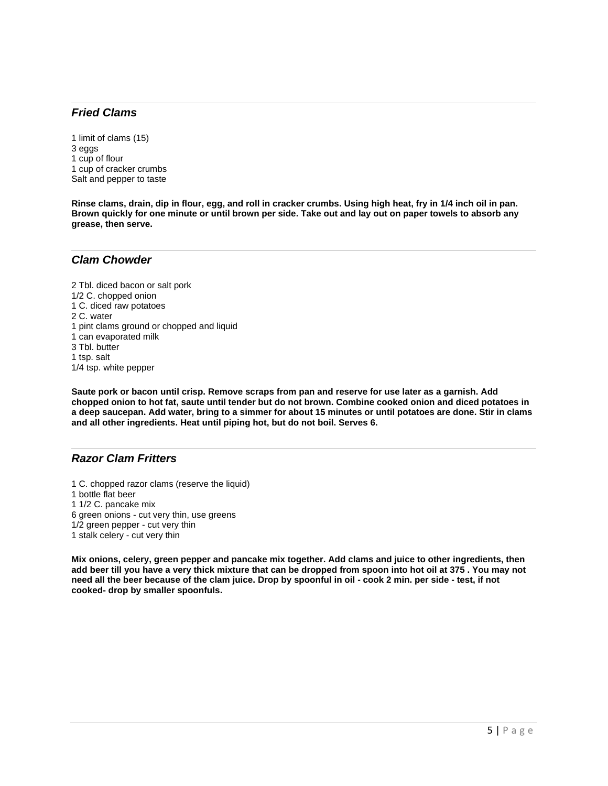# *Fried Clams*

1 limit of clams (15) 3 eggs 1 cup of flour 1 cup of cracker crumbs Salt and pepper to taste

**Rinse clams, drain, dip in flour, egg, and roll in cracker crumbs. Using high heat, fry in 1/4 inch oil in pan. Brown quickly for one minute or until brown per side. Take out and lay out on paper towels to absorb any grease, then serve.**

### *Clam Chowder*

2 Tbl. diced bacon or salt pork 1/2 C. chopped onion 1 C. diced raw potatoes 2 C. water 1 pint clams ground or chopped and liquid 1 can evaporated milk 3 Tbl. butter 1 tsp. salt 1/4 tsp. white pepper

**Saute pork or bacon until crisp. Remove scraps from pan and reserve for use later as a garnish. Add chopped onion to hot fat, saute until tender but do not brown. Combine cooked onion and diced potatoes in a deep saucepan. Add water, bring to a simmer for about 15 minutes or until potatoes are done. Stir in clams and all other ingredients. Heat until piping hot, but do not boil. Serves 6.**

# *Razor Clam Fritters*

- 1 C. chopped razor clams (reserve the liquid)
- 1 bottle flat beer
- 1 1/2 C. pancake mix
- 6 green onions cut very thin, use greens
- 1/2 green pepper cut very thin
- 1 stalk celery cut very thin

**Mix onions, celery, green pepper and pancake mix together. Add clams and juice to other ingredients, then add beer till you have a very thick mixture that can be dropped from spoon into hot oil at 375 . You may not need all the beer because of the clam juice. Drop by spoonful in oil - cook 2 min. per side - test, if not cooked- drop by smaller spoonfuls.**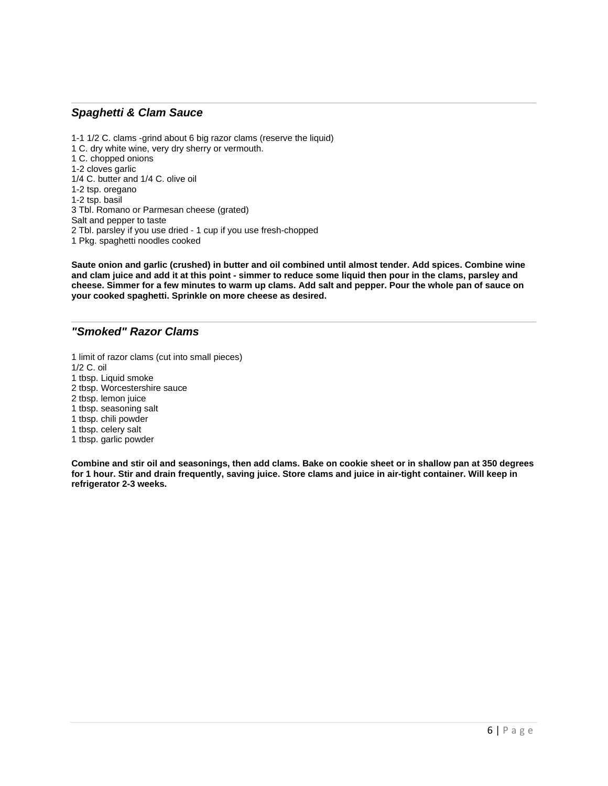# *Spaghetti & Clam Sauce*

1-1 1/2 C. clams -grind about 6 big razor clams (reserve the liquid) 1 C. dry white wine, very dry sherry or vermouth. 1 C. chopped onions 1-2 cloves garlic 1/4 C. butter and 1/4 C. olive oil 1-2 tsp. oregano 1-2 tsp. basil 3 Tbl. Romano or Parmesan cheese (grated) Salt and pepper to taste 2 Tbl. parsley if you use dried - 1 cup if you use fresh-chopped 1 Pkg. spaghetti noodles cooked

**Saute onion and garlic (crushed) in butter and oil combined until almost tender. Add spices. Combine wine and clam juice and add it at this point - simmer to reduce some liquid then pour in the clams, parsley and cheese. Simmer for a few minutes to warm up clams. Add salt and pepper. Pour the whole pan of sauce on your cooked spaghetti. Sprinkle on more cheese as desired.**

# *"Smoked" Razor Clams*

1 limit of razor clams (cut into small pieces) 1/2 C. oil 1 tbsp. Liquid smoke 2 tbsp. Worcestershire sauce 2 tbsp. lemon juice 1 tbsp. seasoning salt 1 tbsp. chili powder 1 tbsp. celery salt 1 tbsp. garlic powder

**Combine and stir oil and seasonings, then add clams. Bake on cookie sheet or in shallow pan at 350 degrees for 1 hour. Stir and drain frequently, saving juice. Store clams and juice in air-tight container. Will keep in refrigerator 2-3 weeks.**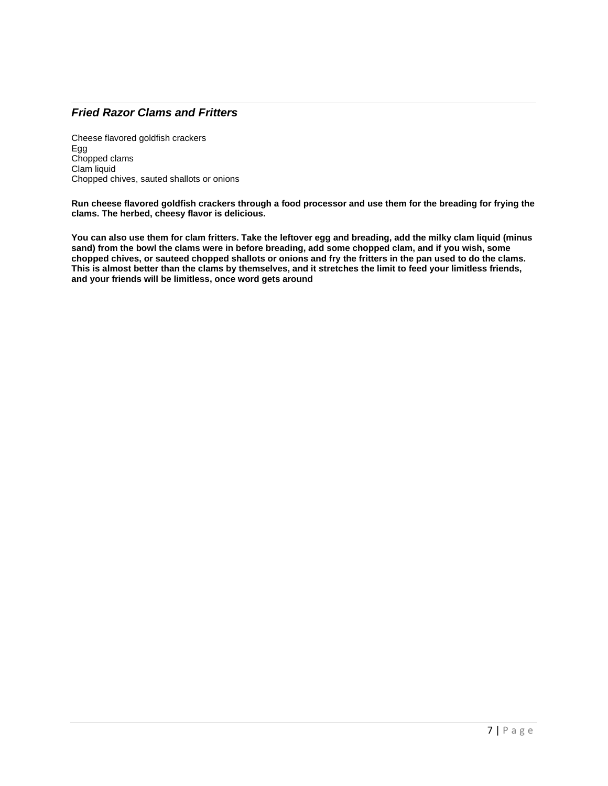# *Fried Razor Clams and Fritters*

Cheese flavored goldfish crackers Egg Chopped clams Clam liquid Chopped chives, sauted shallots or onions

**Run cheese flavored goldfish crackers through a food processor and use them for the breading for frying the clams. The herbed, cheesy flavor is delicious.** 

**You can also use them for clam fritters. Take the leftover egg and breading, add the milky clam liquid (minus sand) from the bowl the clams were in before breading, add some chopped clam, and if you wish, some chopped chives, or sauteed chopped shallots or onions and fry the fritters in the pan used to do the clams. This is almost better than the clams by themselves, and it stretches the limit to feed your limitless friends, and your friends will be limitless, once word gets around**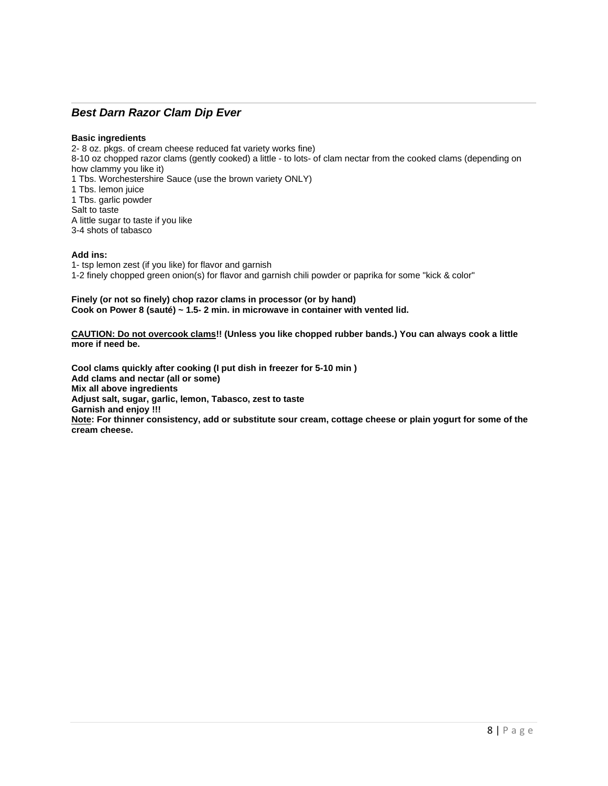# *Best Darn Razor Clam Dip Ever*

#### **Basic ingredients**

2- 8 oz. pkgs. of cream cheese reduced fat variety works fine) 8-10 oz chopped razor clams (gently cooked) a little - to lots- of clam nectar from the cooked clams (depending on how clammy you like it) 1 Tbs. Worchestershire Sauce (use the brown variety ONLY) 1 Tbs. lemon juice 1 Tbs. garlic powder Salt to taste A little sugar to taste if you like 3-4 shots of tabasco

#### **Add ins:**

1- tsp lemon zest (if you like) for flavor and garnish 1-2 finely chopped green onion(s) for flavor and garnish chili powder or paprika for some "kick & color"

#### **Finely (or not so finely) chop razor clams in processor (or by hand) Cook on Power 8 (sauté) ~ 1.5- 2 min. in microwave in container with vented lid.**

**CAUTION: Do not overcook clams!! (Unless you like chopped rubber bands.) You can always cook a little more if need be.** 

**Cool clams quickly after cooking (I put dish in freezer for 5-10 min ) Add clams and nectar (all or some) Mix all above ingredients Adjust salt, sugar, garlic, lemon, Tabasco, zest to taste Garnish and enjoy !!! Note: For thinner consistency, add or substitute sour cream, cottage cheese or plain yogurt for some of the cream cheese.**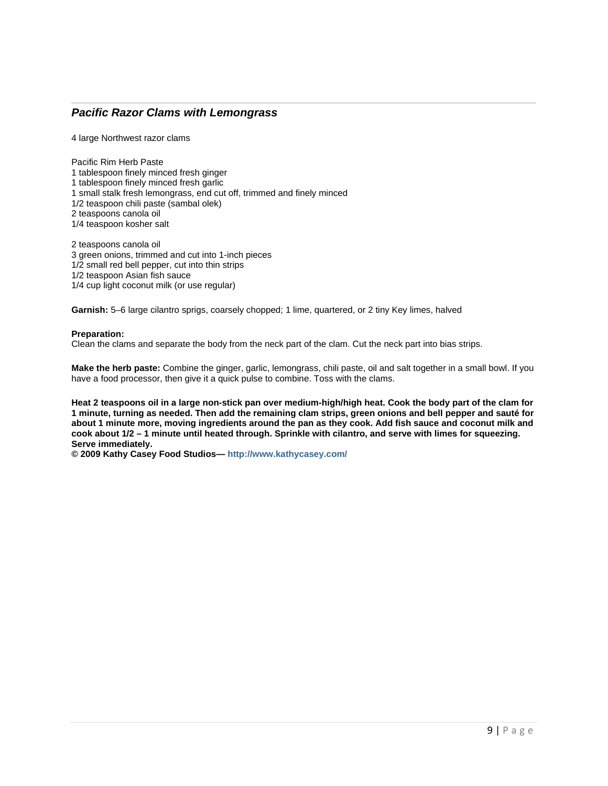# *Pacific Razor Clams with Lemongrass*

4 large Northwest razor clams

Pacific Rim Herb Paste 1 tablespoon finely minced fresh ginger 1 tablespoon finely minced fresh garlic 1 small stalk fresh lemongrass, end cut off, trimmed and finely minced 1/2 teaspoon chili paste (sambal olek) 2 teaspoons canola oil 1/4 teaspoon kosher salt 2 teaspoons canola oil

3 green onions, trimmed and cut into 1-inch pieces 1/2 small red bell pepper, cut into thin strips 1/2 teaspoon Asian fish sauce 1/4 cup light coconut milk (or use regular)

**Garnish:** 5–6 large cilantro sprigs, coarsely chopped; 1 lime, quartered, or 2 tiny Key limes, halved

#### **Preparation:**

Clean the clams and separate the body from the neck part of the clam. Cut the neck part into bias strips.

**Make the herb paste:** Combine the ginger, garlic, lemongrass, chili paste, oil and salt together in a small bowl. If you have a food processor, then give it a quick pulse to combine. Toss with the clams.

**Heat 2 teaspoons oil in a large non-stick pan over medium-high/high heat. Cook the body part of the clam for 1 minute, turning as needed. Then add the remaining clam strips, green onions and bell pepper and sauté for about 1 minute more, moving ingredients around the pan as they cook. Add fish sauce and coconut milk and cook about 1/2 – 1 minute until heated through. Sprinkle with cilantro, and serve with limes for squeezing. Serve immediately.** 

**© 2009 Kathy Casey Food Studios— <http://www.kathycasey.com/>**